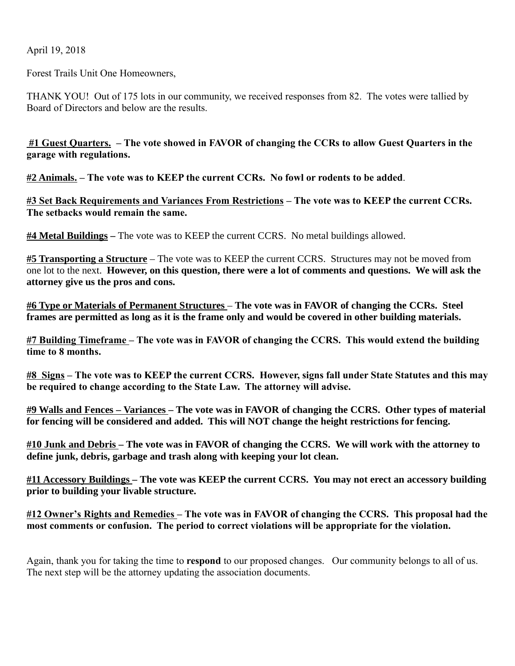April 19, 2018

Forest Trails Unit One Homeowners,

THANK YOU! Out of 175 lots in our community, we received responses from 82. The votes were tallied by Board of Directors and below are the results.

 $#1$  Guest Quarters. – The vote showed in FAVOR of changing the CCRs to allow Guest Quarters in the garage with regulations.

#2 Animals. – The vote was to KEEP the current CCRs. No fowl or rodents to be added.

#3 Set Back Requirements and Variances From Restrictions – The vote was to KEEP the current CCRs. The setbacks would remain the same.

**#4 Metal Buildings** – The vote was to KEEP the current CCRS. No metal buildings allowed.

#5 Transporting a Structure – The vote was to KEEP the current CCRS. Structures may not be moved from one lot to the next. However, on this question, there were a lot of comments and questions. We will ask the attorney give us the pros and cons.

#6 Type or Materials of Permanent Structures - The vote was in FAVOR of changing the CCRs. Steel frames are permitted as long as it is the frame only and would be covered in other building materials.

#7 Building Timeframe – The vote was in FAVOR of changing the CCRS. This would extend the building time to 8 months.

#8 Signs – The vote was to KEEP the current CCRS. However, signs fall under State Statutes and this may be required to change according to the State Law. The attorney will advise.

#9 Walls and Fences – Variances – The vote was in FAVOR of changing the CCRS. Other types of material for fencing will be considered and added. This will NOT change the height restrictions for fencing.

#10 Junk and Debris – The vote was in FAVOR of changing the CCRS. We will work with the attorney to define junk, debris, garbage and trash along with keeping your lot clean.

#11 Accessory Buildings – The vote was KEEP the current CCRS. You may not erect an accessory building prior to building your livable structure.

#12 Owner's Rights and Remedies – The vote was in FAVOR of changing the CCRS. This proposal had the most comments or confusion. The period to correct violations will be appropriate for the violation.

Again, thank you for taking the time to respond to our proposed changes. Our community belongs to all of us. The next step will be the attorney updating the association documents.